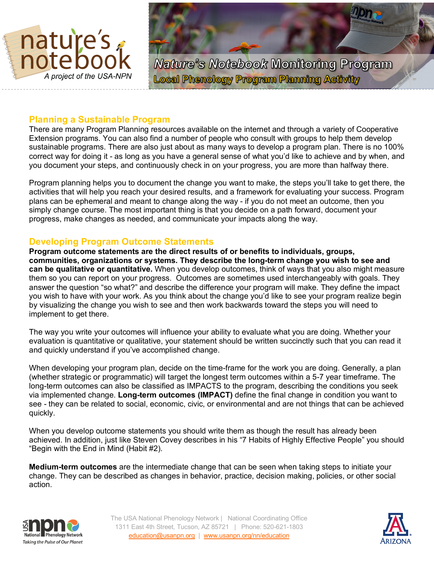



## **Planning a Sustainable Program**

There are many Program Planning resources available on the internet and through a variety of Cooperative Extension programs. You can also find a number of people who consult with groups to help them develop sustainable programs. There are also just about as many ways to develop a program plan. There is no 100% correct way for doing it - as long as you have a general sense of what you'd like to achieve and by when, and you document your steps, and continuously check in on your progress, you are more than halfway there.

Program planning helps you to document the change you want to make, the steps you'll take to get there, the activities that will help you reach your desired results, and a framework for evaluating your success. Program plans can be ephemeral and meant to change along the way - if you do not meet an outcome, then you simply change course. The most important thing is that you decide on a path forward, document your progress, make changes as needed, and communicate your impacts along the way.

# **Developing Program Outcome Statements**

**Program outcome statements are the direct results of or benefits to individuals, groups, communities, organizations or systems. They describe the long-term change you wish to see and can be qualitative or quantitative.** When you develop outcomes, think of ways that you also might measure them so you can report on your progress. Outcomes are sometimes used interchangeably with goals. They answer the question "so what?" and describe the difference your program will make. They define the impact you wish to have with your work. As you think about the change you'd like to see your program realize begin by visualizing the change you wish to see and then work backwards toward the steps you will need to implement to get there.

The way you write your outcomes will influence your ability to evaluate what you are doing. Whether your evaluation is quantitative or qualitative, your statement should be written succinctly such that you can read it and quickly understand if you've accomplished change.

When developing your program plan, decide on the time-frame for the work you are doing. Generally, a plan (whether strategic or programmatic) will target the longest term outcomes within a 5-7 year timeframe. The long-term outcomes can also be classified as IMPACTS to the program, describing the conditions you seek via implemented change. **Long-term outcomes (IMPACT)** define the final change in condition you want to see - they can be related to social, economic, civic, or environmental and are not things that can be achieved quickly.

When you develop outcome statements you should write them as though the result has already been achieved. In addition, just like Steven Covey describes in his "7 Habits of Highly Effective People" you should "Begin with the End in Mind (Habit #2).

**Medium-term outcomes** are the intermediate change that can be seen when taking steps to initiate your change. They can be described as changes in behavior, practice, decision making, policies, or other social action.



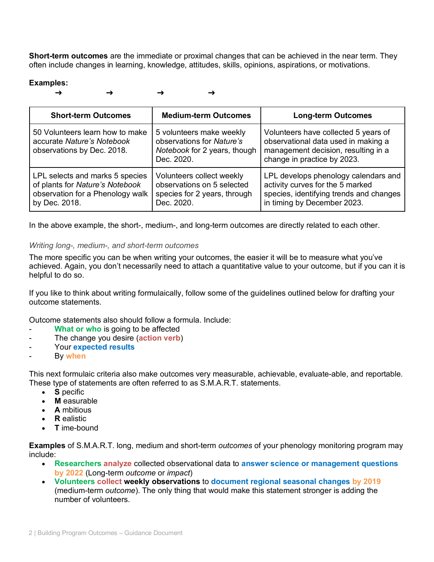**Short-term outcomes** are the immediate or proximal changes that can be achieved in the near term. They often include changes in learning, knowledge, attitudes, skills, opinions, aspirations, or motivations.

### **Examples:**

→ → → →

| <b>Short-term Outcomes</b>                                                                                              | <b>Medium-term Outcomes</b>                                                                           | <b>Long-term Outcomes</b>                                                                                                                          |
|-------------------------------------------------------------------------------------------------------------------------|-------------------------------------------------------------------------------------------------------|----------------------------------------------------------------------------------------------------------------------------------------------------|
| 50 Volunteers learn how to make<br>accurate Nature's Notebook<br>observations by Dec. 2018.                             | 5 volunteers make weekly<br>observations for Nature's<br>Notebook for 2 years, though<br>Dec. 2020.   | Volunteers have collected 5 years of<br>observational data used in making a<br>management decision, resulting in a<br>change in practice by 2023.  |
| LPL selects and marks 5 species<br>of plants for Nature's Notebook<br>observation for a Phenology walk<br>by Dec. 2018. | Volunteers collect weekly<br>observations on 5 selected<br>species for 2 years, through<br>Dec. 2020. | LPL develops phenology calendars and<br>activity curves for the 5 marked<br>species, identifying trends and changes<br>in timing by December 2023. |

In the above example, the short-, medium-, and long-term outcomes are directly related to each other.

#### *Writing long-, medium-, and short-term outcomes*

The more specific you can be when writing your outcomes, the easier it will be to measure what you've achieved. Again, you don't necessarily need to attach a quantitative value to your outcome, but if you can it is helpful to do so.

If you like to think about writing formulaically, follow some of the guidelines outlined below for drafting your outcome statements.

Outcome statements also should follow a formula. Include:

- **What or who** is going to be affected
- The change you desire (**action verb**)
- Your **expected results**
- By **when**

This next formulaic criteria also make outcomes very measurable, achievable, evaluate-able, and reportable. These type of statements are often referred to as S.M.A.R.T. statements.

- **S** pecific
- **M** easurable
- **A** mbitious
- **R** ealistic
- **T** ime-bound

**Examples** of S.M.A.R.T. long, medium and short-term *outcomes* of your phenology monitoring program may include:

- **Researchers analyze** collected observational data to **answer science or management questions by 2022** (Long-term *outcome* or *impact*)
- **Volunteers collect weekly observations** to **document regional seasonal changes by 2019** (medium-term *outcome*). The only thing that would make this statement stronger is adding the number of volunteers.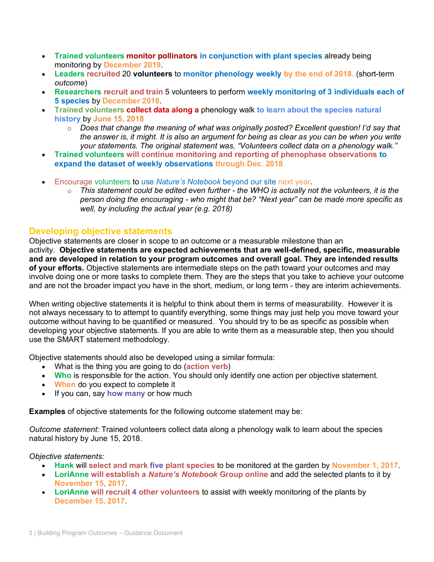- **Trained volunteers monitor pollinators in conjunction with plant species** already being monitoring by **December 2019**.
- **Leaders recruited** 20 **volunteers** to **monitor phenology weekly by the end of 2018.** (short-term *outcome*)
- **Researchers recruit and train** 5 volunteers to perform **weekly monitoring of 3 individuals each of 5 species** by **December 2018**.
- **Trained volunteers collect data along a** phenology walk **to learn about the species natural history** by **June 15, 2018**
	- o *Does that change the meaning of what was originally posted? Excellent question! I'd say that the answer is, it might. It is also an argument for being as clear as you can be when you write your statements. The original statement was, "Volunteers collect data on a phenology walk."*
- **Trained volunteers will continue monitoring and reporting of phenophase observations to expand the dataset of weekly observations through Dec. 2018**.
- Encourage volunteers to use *Nature's Notebook* beyond our site next year.
	- o *This statement could be edited even further - the WHO is actually not the volunteers, it is the person doing the encouraging - who might that be? "Next year" can be made more specific as well, by including the actual year (e.g. 2018)*

## **Developing objective statements**

Objective statements are closer in scope to an outcome or a measurable milestone than an activity. **Objective statements are expected achievements that are well-defined, specific, measurable and are developed in relation to your program outcomes and overall goal. They are intended results of your efforts.** Objective statements are intermediate steps on the path toward your outcomes and may involve doing one or more tasks to complete them. They are the steps that you take to achieve your outcome and are not the broader impact you have in the short, medium, or long term - they are interim achievements.

When writing objective statements it is helpful to think about them in terms of measurability. However it is not always necessary to to attempt to quantify everything, some things may just help you move toward your outcome without having to be quantified or measured. You should try to be as specific as possible when developing your objective statements. If you are able to write them as a measurable step, then you should use the SMART statement methodology.

Objective statements should also be developed using a similar formula:

- What is the thing you are going to do (**action verb**)
- **Who** is responsible for the action. You should only identify one action per objective statement.
- **When** do you expect to complete it
- If you can, say **how many** or how much

**Examples** of objective statements for the following outcome statement may be:

*Outcome statement:* Trained volunteers collect data along a phenology walk to learn about the species natural history by June 15, 2018.

*Objective statements:* 

- **Hank** will **select and mark five plant species** to be monitored at the garden by **November 1, 2017**.
- **LoriAnne will establish a** *Nature's Notebook* **Group online** and add the selected plants to it by **November 15, 2017**.
- **LoriAnne will recruit 4 other volunteers** to assist with weekly monitoring of the plants by **December 15, 2017**.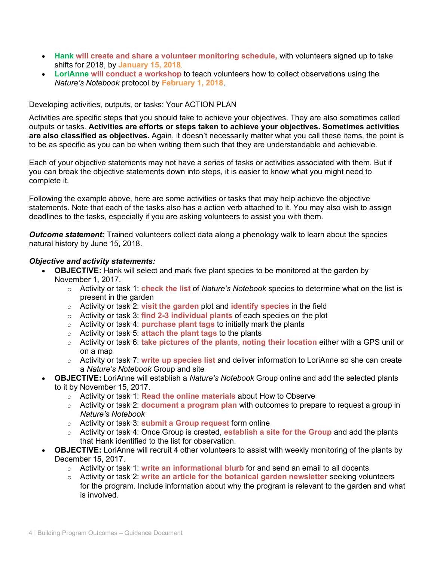- **Hank will create and share a volunteer monitoring schedule,** with volunteers signed up to take shifts for 2018, by **January 15, 2018**.
- **LoriAnne will conduct a workshop** to teach volunteers how to collect observations using the *Nature's Notebook* protocol by **February 1, 2018**.

#### Developing activities, outputs, or tasks: Your ACTION PLAN

Activities are specific steps that you should take to achieve your objectives. They are also sometimes called outputs or tasks. **Activities are efforts or steps taken to achieve your objectives. Sometimes activities are also classified as objectives.** Again, it doesn't necessarily matter what you call these items, the point is to be as specific as you can be when writing them such that they are understandable and achievable.

Each of your objective statements may not have a series of tasks or activities associated with them. But if you can break the objective statements down into steps, it is easier to know what you might need to complete it.

Following the example above, here are some activities or tasks that may help achieve the objective statements. Note that each of the tasks also has a action verb attached to it. You may also wish to assign deadlines to the tasks, especially if you are asking volunteers to assist you with them.

*Outcome statement:* Trained volunteers collect data along a phenology walk to learn about the species natural history by June 15, 2018.

#### *Objective and activity statements:*

- **OBJECTIVE:** Hank will select and mark five plant species to be monitored at the garden by November 1, 2017.
	- o Activity or task 1: **check the list** of *Nature's Notebook* species to determine what on the list is present in the garden
	- o Activity or task 2: **visit the garden** plot and **identify species** in the field
	- o Activity or task 3: **find 2-3 individual plants** of each species on the plot
	- o Activity or task 4: **purchase plant tags** to initially mark the plants
	- o Activity or task 5: **attach the plant tags** to the plants
	- o Activity or task 6: **take pictures of the plants**, **noting their location** either with a GPS unit or on a map
	- o Activity or task 7: **write up species list** and deliver information to LoriAnne so she can create a *Nature's Notebook* Group and site
- **OBJECTIVE:** LoriAnne will establish a *Nature's Notebook* Group online and add the selected plants to it by November 15, 2017.
	- o Activity or task 1: **Read the online materials** about How to Observe
	- o Activity or task 2: **document a program plan** with outcomes to prepare to request a group in *Nature's Notebook*
	- o Activity or task 3: **submit a Group request** form online
	- o Activity or task 4: Once Group is created, **establish a site for the Group** and add the plants that Hank identified to the list for observation.
- **OBJECTIVE:** LoriAnne will recruit 4 other volunteers to assist with weekly monitoring of the plants by December 15, 2017.
	- o Activity or task 1: **write an informational blurb** for and send an email to all docents
	- o Activity or task 2: **write an article for the botanical garden newsletter** seeking volunteers for the program. Include information about why the program is relevant to the garden and what is involved.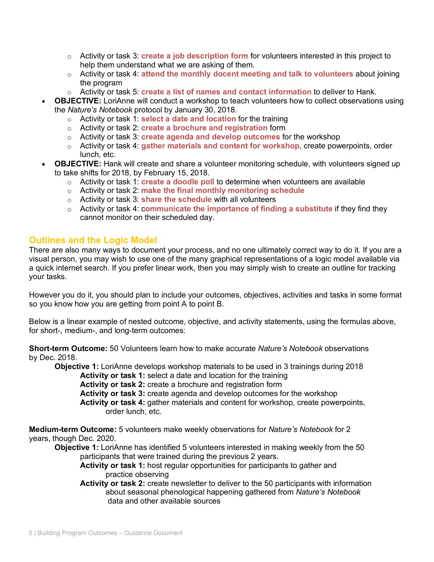- o Activity or task 3: **create a job description form** for volunteers interested in this project to help them understand what we are asking of them.
- o Activity or task 4: **attend the monthly docent meeting and talk to volunteers** about joining the program
- o Activity or task 5: **create a list of names and contact information** to deliver to Hank.
- **OBJECTIVE:** LoriAnne will conduct a workshop to teach volunteers how to collect observations using the *Nature's Notebook* protocol by January 30, 2018.
	- o Activity or task 1: **select a date and location** for the training
	- o Activity or task 2: **create a brochure and registration** form
	- o Activity or task 3: **create agenda and develop outcomes** for the workshop
	- o Activity or task 4: **gather materials and content for workshop**, create powerpoints, order lunch, etc.
- **OBJECTIVE:** Hank will create and share a volunteer monitoring schedule, with volunteers signed up to take shifts for 2018, by February 15, 2018.
	- o Activity or task 1: **create a doodle poll** to determine when volunteers are available
	- o Activity or task 2: **make the final monthly monitoring schedule**
	- o Activity or task 3: **share the schedule** with all volunteers
	- o Activity or task 4: c**ommunicate the importance of finding a substitute** if they find they cannot monitor on their scheduled day.

## **Outlines and the Logic Model**

There are also many ways to document your process, and no one ultimately correct way to do it. If you are a visual person, you may wish to use one of the many graphical representations of a logic model available via a quick internet search. If you prefer linear work, then you may simply wish to create an outline for tracking your tasks.

However you do it, you should plan to include your outcomes, objectives, activities and tasks in some format so you know how you are getting from point A to point B.

Below is a linear example of nested outcome, objective, and activity statements, using the formulas above, for short-, medium-, and long-term outcomes:

**Short-term Outcome:** 50 Volunteers learn how to make accurate *Nature's Notebook* observations by Dec. 2018.

**Objective 1:** LoriAnne develops workshop materials to be used in 3 trainings during 2018

**Activity or task 1:** select a date and location for the training

**Activity or task 2:** create a brochure and registration form

**Activity or task 3:** create agenda and develop outcomes for the workshop

**Activity or task 4:** gather materials and content for workshop, create powerpoints, order lunch, etc.

**Medium-term Outcome:** 5 volunteers make weekly observations for *Nature's Notebook* for 2 years, though Dec. 2020.

**Objective 1:** LoriAnne has identified 5 volunteers interested in making weekly from the 50 participants that were trained during the previous 2 years.

**Activity or task 1:** host regular opportunities for participants to gather and practice observing

**Activity or task 2:** create newsletter to deliver to the 50 participants with information about seasonal phenological happening gathered from *Nature's Notebook* data and other available sources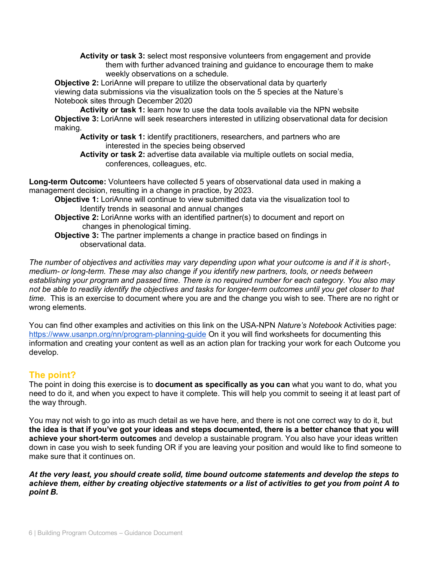**Activity or task 3:** select most responsive volunteers from engagement and provide them with further advanced training and guidance to encourage them to make weekly observations on a schedule.

**Objective 2:** LoriAnne will prepare to utilize the observational data by quarterly viewing data submissions via the visualization tools on the 5 species at the Nature's Notebook sites through December 2020

**Activity or task 1:** learn how to use the data tools available via the NPN website **Objective 3:** LoriAnne will seek researchers interested in utilizing observational data for decision making.

**Activity or task 1:** identify practitioners, researchers, and partners who are interested in the species being observed

**Activity or task 2:** advertise data available via multiple outlets on social media, conferences, colleagues, etc.

**Long-term Outcome:** Volunteers have collected 5 years of observational data used in making a management decision, resulting in a change in practice, by 2023.

- **Objective 1:** LoriAnne will continue to view submitted data via the visualization tool to Identify trends in seasonal and annual changes
- **Objective 2:** LoriAnne works with an identified partner(s) to document and report on changes in phenological timing.
- **Objective 3:** The partner implements a change in practice based on findings in observational data.

*The number of objectives and activities may vary depending upon what your outcome is and if it is short-, medium- or long-term. These may also change if you identify new partners, tools, or needs between establishing your program and passed time. There is no required number for each category. You also may not be able to readily identify the objectives and tasks for longer-term outcomes until you get closer to that time.* This is an exercise to document where you are and the change you wish to see. There are no right or wrong elements.

You can find other examples and activities on this link on the USA-NPN *Nature's Notebook* Activities page: https://www.usanpn.org/nn/program-planning-guide On it you will find worksheets for documenting this information and creating your content as well as an action plan for tracking your work for each Outcome you develop.

# **The point?**

The point in doing this exercise is to **document as specifically as you can** what you want to do, what you need to do it, and when you expect to have it complete. This will help you commit to seeing it at least part of the way through.

You may not wish to go into as much detail as we have here, and there is not one correct way to do it, but **the idea is that if you've got your ideas and steps documented, there is a better chance that you will achieve your short-term outcomes** and develop a sustainable program. You also have your ideas written down in case you wish to seek funding OR if you are leaving your position and would like to find someone to make sure that it continues on.

*At the very least, you should create solid, time bound outcome statements and develop the steps to achieve them, either by creating objective statements or a list of activities to get you from point A to point B.*